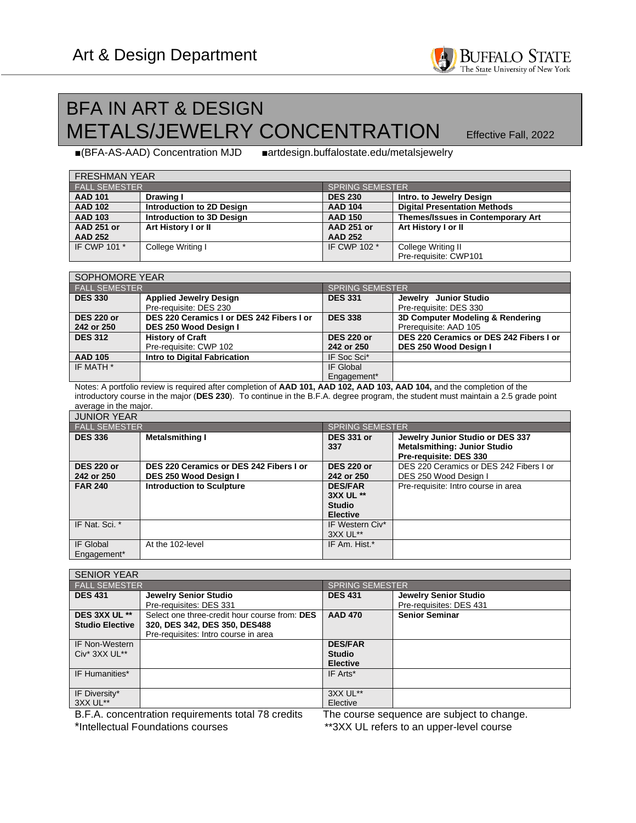## BFA IN ART & DESIGN **METALS/JEWELRY CONCENTRATION** Effective Fall, 2022

■(BFA-AS-AAD) Concentration MJD ■artdesign.buffalostate.edu/metalsjewelry

| <b>FRESHMAN YEAR</b> |                           |                        |                                     |  |  |
|----------------------|---------------------------|------------------------|-------------------------------------|--|--|
| <b>FALL SEMESTER</b> |                           | <b>SPRING SEMESTER</b> |                                     |  |  |
| <b>AAD 101</b>       | Drawing I                 | <b>DES 230</b>         | Intro. to Jewelry Design            |  |  |
| <b>AAD 102</b>       | Introduction to 2D Design | <b>AAD 104</b>         | <b>Digital Presentation Methods</b> |  |  |
| <b>AAD 103</b>       | Introduction to 3D Design | <b>AAD 150</b>         | Themes/Issues in Contemporary Art   |  |  |
| <b>AAD 251 or</b>    | Art History I or II       | <b>AAD 251 or</b>      | Art History I or II                 |  |  |
| <b>AAD 252</b>       |                           | <b>AAD 252</b>         |                                     |  |  |
| IF CWP 101 *         | College Writing I         | IF CWP 102 *           | College Writing II                  |  |  |
|                      |                           |                        | Pre-requisite: CWP101               |  |  |

| SOPHOMORE YEAR       |                                           |                        |                                         |  |  |
|----------------------|-------------------------------------------|------------------------|-----------------------------------------|--|--|
| <b>FALL SEMESTER</b> |                                           | <b>SPRING SEMESTER</b> |                                         |  |  |
| <b>DES 330</b>       | <b>Applied Jewelry Design</b>             | <b>DES 331</b>         | Jewelry Junior Studio                   |  |  |
|                      | Pre-requisite: DES 230                    |                        | Pre-requisite: DES 330                  |  |  |
| <b>DES 220 or</b>    | DES 220 Ceramics I or DES 242 Fibers I or | <b>DES 338</b>         | 3D Computer Modeling & Rendering        |  |  |
| 242 or 250           | DES 250 Wood Design I                     |                        | Prerequisite: AAD 105                   |  |  |
| <b>DES 312</b>       | <b>History of Craft</b>                   | <b>DES 220 or</b>      | DES 220 Ceramics or DES 242 Fibers I or |  |  |
|                      | Pre-requisite: CWP 102                    | 242 or 250             | DES 250 Wood Design I                   |  |  |
| <b>AAD 105</b>       | <b>Intro to Digital Fabrication</b>       | IF Soc Sci*            |                                         |  |  |
| IF MATH *            |                                           | IF Global              |                                         |  |  |
|                      |                                           | Engagement*            |                                         |  |  |

Notes: A portfolio review is required after completion of **AAD 101, AAD 102, AAD 103, AAD 104,** and the completion of the introductory course in the major (**DES 230**). To continue in the B.F.A. degree program, the student must maintain a 2.5 grade point average in the major.

| <b>JUNIOR YEAR</b>              |                                                                  |                                                                 |                                                                                                   |  |  |
|---------------------------------|------------------------------------------------------------------|-----------------------------------------------------------------|---------------------------------------------------------------------------------------------------|--|--|
| <b>FALL SEMESTER</b>            |                                                                  | <b>SPRING SEMESTER</b>                                          |                                                                                                   |  |  |
| <b>DES 336</b>                  | <b>Metalsmithing I</b>                                           | <b>DES 331 or</b><br>337                                        | Jewelry Junior Studio or DES 337<br><b>Metalsmithing: Junior Studio</b><br>Pre-requisite: DES 330 |  |  |
| <b>DES 220 or</b><br>242 or 250 | DES 220 Ceramics or DES 242 Fibers I or<br>DES 250 Wood Design I | <b>DES 220 or</b><br>242 or 250                                 | DES 220 Ceramics or DES 242 Fibers I or<br>DES 250 Wood Design I                                  |  |  |
| <b>FAR 240</b>                  | <b>Introduction to Sculpture</b>                                 | <b>DES/FAR</b><br>3XX UL **<br><b>Studio</b><br><b>Elective</b> | Pre-requisite: Intro course in area                                                               |  |  |
| IF Nat. Sci. *                  |                                                                  | IF Western Civ*<br>3XX UL**                                     |                                                                                                   |  |  |
| IF Global<br>Engagement*        | At the 102-level                                                 | IF Am. Hist.*                                                   |                                                                                                   |  |  |

| <b>SENIOR YEAR</b>                                                                               |                                                                                                                        |                                                    |                                                  |
|--------------------------------------------------------------------------------------------------|------------------------------------------------------------------------------------------------------------------------|----------------------------------------------------|--------------------------------------------------|
| <b>FALL SEMESTER</b>                                                                             |                                                                                                                        | <b>SPRING SEMESTER</b>                             |                                                  |
| <b>DES 431</b>                                                                                   | Jewelry Senior Studio<br>Pre-requisites: DES 331                                                                       | <b>DES 431</b>                                     | Jewelry Senior Studio<br>Pre-requisites: DES 431 |
| DES 3XX UL **<br><b>Studio Elective</b>                                                          | Select one three-credit hour course from: DES<br>320, DES 342, DES 350, DES488<br>Pre-requisites: Intro course in area | <b>AAD 470</b>                                     | <b>Senior Seminar</b>                            |
| <b>IF Non-Western</b><br>Civ <sup>*</sup> 3XX UL <sup>**</sup>                                   |                                                                                                                        | <b>DES/FAR</b><br><b>Studio</b><br><b>Elective</b> |                                                  |
| IF Humanities*                                                                                   |                                                                                                                        | IF Arts*                                           |                                                  |
| IF Diversity*<br>3XX UL**                                                                        |                                                                                                                        | 3XX UL**<br>Elective                               |                                                  |
| B.F.A. concentration requirements total 78 credits<br>The course sequence are subject to change. |                                                                                                                        |                                                    |                                                  |

\*Intellectual Foundations courses \*\*3XX UL refers to an upper-level course